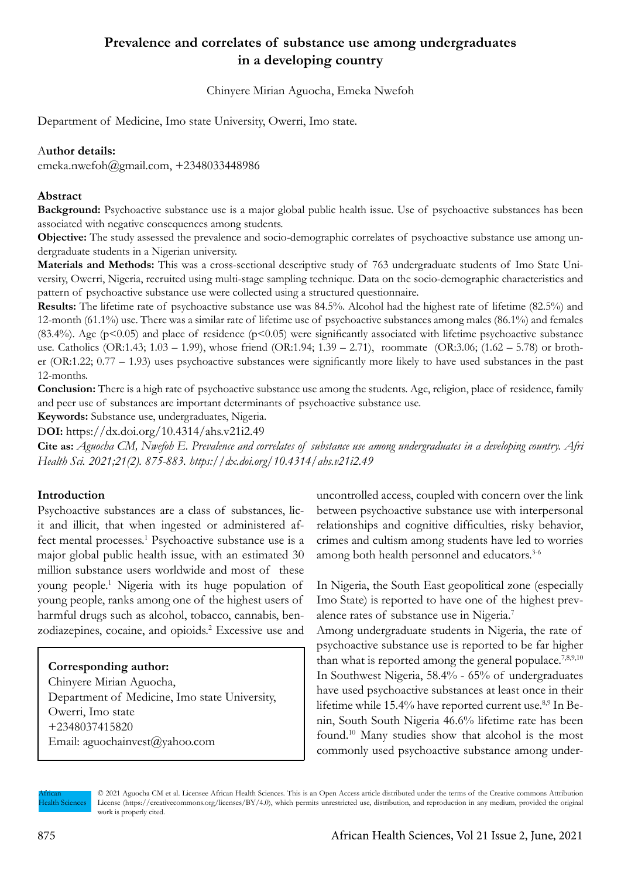# **Prevalence and correlates of substance use among undergraduates in a developing country**

Chinyere Mirian Aguocha, Emeka Nwefoh

Department of Medicine, Imo state University, Owerri, Imo state.

### A**uthor details:**

emeka.nwefoh@gmail.com, +2348033448986

### **Abstract**

**Background:** Psychoactive substance use is a major global public health issue. Use of psychoactive substances has been associated with negative consequences among students.

**Objective:** The study assessed the prevalence and socio-demographic correlates of psychoactive substance use among undergraduate students in a Nigerian university.

**Materials and Methods:** This was a cross-sectional descriptive study of 763 undergraduate students of Imo State University, Owerri, Nigeria, recruited using multi-stage sampling technique. Data on the socio-demographic characteristics and pattern of psychoactive substance use were collected using a structured questionnaire.

**Results:** The lifetime rate of psychoactive substance use was 84.5%. Alcohol had the highest rate of lifetime (82.5%) and 12-month (61.1%) use. There was a similar rate of lifetime use of psychoactive substances among males (86.1%) and females (83.4%). Age (p<0.05) and place of residence (p<0.05) were significantly associated with lifetime psychoactive substance use. Catholics (OR:1.43; 1.03 – 1.99), whose friend (OR:1.94; 1.39 – 2.71), roommate (OR:3.06; (1.62 – 5.78) or brother (OR:1.22; 0.77 – 1.93) uses psychoactive substances were significantly more likely to have used substances in the past 12-months.

**Conclusion:** There is a high rate of psychoactive substance use among the students. Age, religion, place of residence, family and peer use of substances are important determinants of psychoactive substance use.

**Keywords:** Substance use, undergraduates, Nigeria.

D**OI:** https://dx.doi.org/10.4314/ahs.v21i2.49

**Cite as:** *Aguocha CM, Nwefoh E. Prevalence and correlates of substance use among undergraduates in a developing country. Afri Health Sci. 2021;21(2). 875-883. https://dx.doi.org/10.4314/ahs.v21i2.49*

# **Introduction**

Psychoactive substances are a class of substances, licit and illicit, that when ingested or administered affect mental processes.<sup>1</sup> Psychoactive substance use is a major global public health issue, with an estimated 30 million substance users worldwide and most of these young people.1 Nigeria with its huge population of young people, ranks among one of the highest users of harmful drugs such as alcohol, tobacco, cannabis, benzodiazepines, cocaine, and opioids.<sup>2</sup> Excessive use and

### **Corresponding author:**

Chinyere Mirian Aguocha, Department of Medicine, Imo state University, Owerri, Imo state +2348037415820 Email: aguochainvest@yahoo.com

uncontrolled access, coupled with concern over the link between psychoactive substance use with interpersonal relationships and cognitive difficulties, risky behavior, crimes and cultism among students have led to worries among both health personnel and educators.<sup>3-6</sup>

In Nigeria, the South East geopolitical zone (especially Imo State) is reported to have one of the highest prevalence rates of substance use in Nigeria.7

Among undergraduate students in Nigeria, the rate of psychoactive substance use is reported to be far higher than what is reported among the general populace.<sup>7,8,9,10</sup> In Southwest Nigeria, 58.4% - 65% of undergraduates have used psychoactive substances at least once in their lifetime while  $15.4\%$  have reported current use.<sup>8,9</sup> In Benin, South South Nigeria 46.6% lifetime rate has been found.10 Many studies show that alcohol is the most commonly used psychoactive substance among under-

African Health Sciences © 2021 Aguocha CM et al. Licensee African Health Sciences. This is an Open Access article distributed under the terms of the Creative commons Attribution License (https://creativecommons.org/licenses/BY/4.0), which permits unrestricted use, distribution, and reproduction in any medium, provided the original work is properly cited.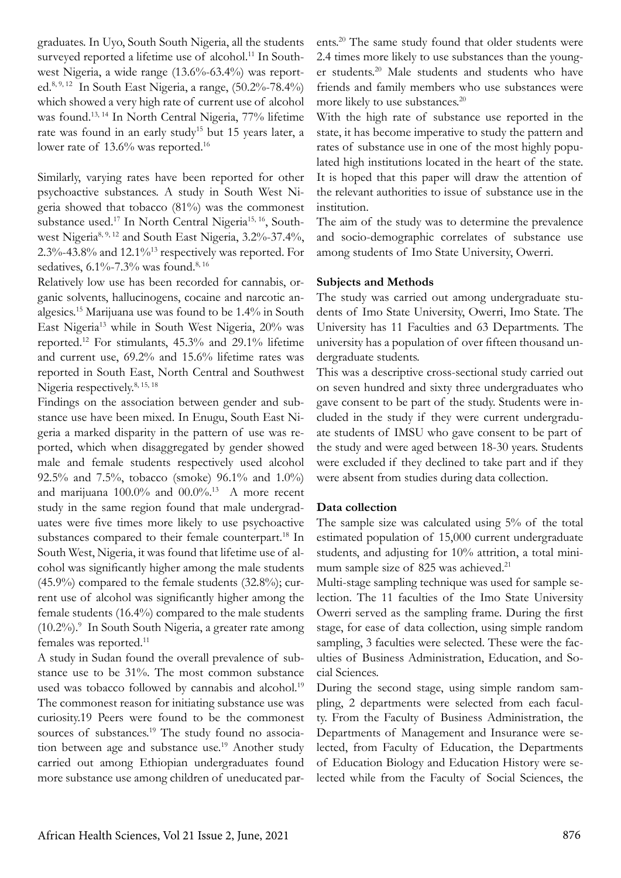graduates. In Uyo, South South Nigeria, all the students surveyed reported a lifetime use of alcohol.<sup>11</sup> In Southwest Nigeria, a wide range (13.6%-63.4%) was reported.8, 9, 12 In South East Nigeria, a range, (50.2%-78.4%) which showed a very high rate of current use of alcohol was found.13, 14 In North Central Nigeria, 77% lifetime rate was found in an early study<sup>15</sup> but 15 years later, a lower rate of 13.6% was reported.<sup>16</sup>

Similarly, varying rates have been reported for other psychoactive substances. A study in South West Nigeria showed that tobacco (81%) was the commonest substance used.<sup>17</sup> In North Central Nigeria<sup>15, 16</sup>, Southwest Nigeria8, 9, 12 and South East Nigeria, 3.2%-37.4%, 2.3%-43.8% and 12.1%13 respectively was reported. For sedatives, 6.1%-7.3% was found.<sup>8, 16</sup>

Relatively low use has been recorded for cannabis, organic solvents, hallucinogens, cocaine and narcotic analgesics.15 Marijuana use was found to be 1.4% in South East Nigeria13 while in South West Nigeria, 20% was reported.12 For stimulants, 45.3% and 29.1% lifetime and current use, 69.2% and 15.6% lifetime rates was reported in South East, North Central and Southwest Nigeria respectively.<sup>8, 15, 18</sup>

Findings on the association between gender and substance use have been mixed. In Enugu, South East Nigeria a marked disparity in the pattern of use was reported, which when disaggregated by gender showed male and female students respectively used alcohol 92.5% and 7.5%, tobacco (smoke) 96.1% and 1.0%) and marijuana 100.0% and 00.0%.13 A more recent study in the same region found that male undergraduates were five times more likely to use psychoactive substances compared to their female counterpart.<sup>18</sup> In South West, Nigeria, it was found that lifetime use of alcohol was significantly higher among the male students  $(45.9\%)$  compared to the female students  $(32.8\%)$ ; current use of alcohol was significantly higher among the female students (16.4%) compared to the male students (10.2%).9 In South South Nigeria, a greater rate among females was reported.<sup>11</sup>

A study in Sudan found the overall prevalence of substance use to be 31%. The most common substance used was tobacco followed by cannabis and alcohol.<sup>19</sup> The commonest reason for initiating substance use was curiosity.19 Peers were found to be the commonest sources of substances.<sup>19</sup> The study found no association between age and substance use.<sup>19</sup> Another study carried out among Ethiopian undergraduates found more substance use among children of uneducated parents.20 The same study found that older students were 2.4 times more likely to use substances than the younger students.20 Male students and students who have friends and family members who use substances were more likely to use substances.<sup>20</sup>

With the high rate of substance use reported in the state, it has become imperative to study the pattern and rates of substance use in one of the most highly populated high institutions located in the heart of the state. It is hoped that this paper will draw the attention of the relevant authorities to issue of substance use in the institution.

The aim of the study was to determine the prevalence and socio-demographic correlates of substance use among students of Imo State University, Owerri.

#### **Subjects and Methods**

The study was carried out among undergraduate students of Imo State University, Owerri, Imo State. The University has 11 Faculties and 63 Departments. The university has a population of over fifteen thousand undergraduate students.

This was a descriptive cross-sectional study carried out on seven hundred and sixty three undergraduates who gave consent to be part of the study. Students were included in the study if they were current undergraduate students of IMSU who gave consent to be part of the study and were aged between 18-30 years. Students were excluded if they declined to take part and if they were absent from studies during data collection.

#### **Data collection**

The sample size was calculated using 5% of the total estimated population of 15,000 current undergraduate students, and adjusting for 10% attrition, a total minimum sample size of 825 was achieved.<sup>21</sup>

Multi-stage sampling technique was used for sample selection. The 11 faculties of the Imo State University Owerri served as the sampling frame. During the first stage, for ease of data collection, using simple random sampling, 3 faculties were selected. These were the faculties of Business Administration, Education, and Social Sciences.

During the second stage, using simple random sampling, 2 departments were selected from each faculty. From the Faculty of Business Administration, the Departments of Management and Insurance were selected, from Faculty of Education, the Departments of Education Biology and Education History were selected while from the Faculty of Social Sciences, the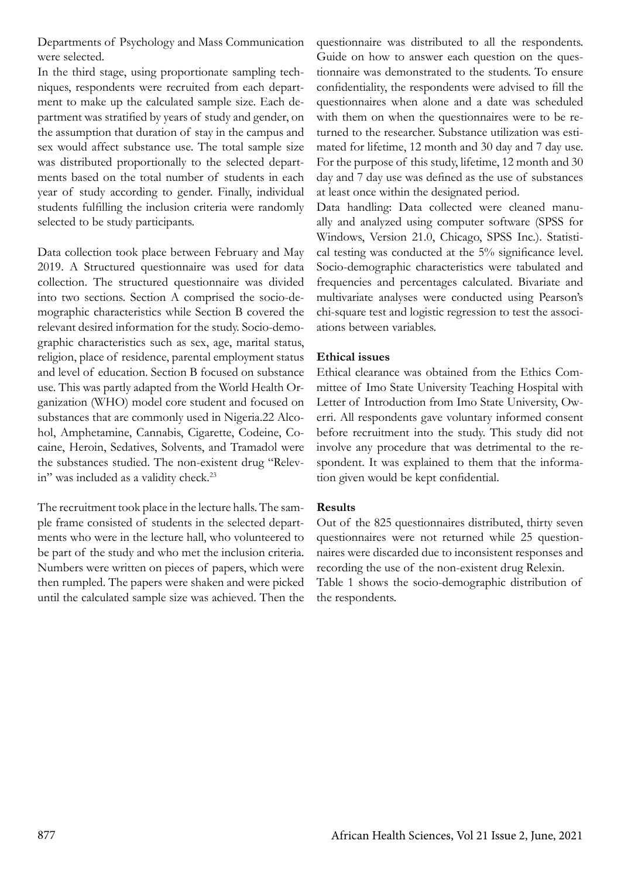Departments of Psychology and Mass Communication were selected.

In the third stage, using proportionate sampling techniques, respondents were recruited from each department to make up the calculated sample size. Each department was stratified by years of study and gender, on the assumption that duration of stay in the campus and sex would affect substance use. The total sample size was distributed proportionally to the selected departments based on the total number of students in each year of study according to gender. Finally, individual students fulfilling the inclusion criteria were randomly selected to be study participants.

Data collection took place between February and May 2019. A Structured questionnaire was used for data collection. The structured questionnaire was divided into two sections. Section A comprised the socio-demographic characteristics while Section B covered the relevant desired information for the study. Socio-demographic characteristics such as sex, age, marital status, religion, place of residence, parental employment status and level of education. Section B focused on substance use. This was partly adapted from the World Health Organization (WHO) model core student and focused on substances that are commonly used in Nigeria.22 Alcohol, Amphetamine, Cannabis, Cigarette, Codeine, Cocaine, Heroin, Sedatives, Solvents, and Tramadol were the substances studied. The non-existent drug "Relevin" was included as a validity check.<sup>23</sup>

The recruitment took place in the lecture halls. The sample frame consisted of students in the selected departments who were in the lecture hall, who volunteered to be part of the study and who met the inclusion criteria. Numbers were written on pieces of papers, which were then rumpled. The papers were shaken and were picked until the calculated sample size was achieved. Then the questionnaire was distributed to all the respondents. Guide on how to answer each question on the questionnaire was demonstrated to the students. To ensure confidentiality, the respondents were advised to fill the questionnaires when alone and a date was scheduled with them on when the questionnaires were to be returned to the researcher. Substance utilization was estimated for lifetime, 12 month and 30 day and 7 day use. For the purpose of this study, lifetime, 12 month and 30 day and 7 day use was defined as the use of substances at least once within the designated period.

Data handling: Data collected were cleaned manually and analyzed using computer software (SPSS for Windows, Version 21.0, Chicago, SPSS Inc.). Statistical testing was conducted at the 5% significance level. Socio-demographic characteristics were tabulated and frequencies and percentages calculated. Bivariate and multivariate analyses were conducted using Pearson's chi-square test and logistic regression to test the associations between variables.

### **Ethical issues**

Ethical clearance was obtained from the Ethics Committee of Imo State University Teaching Hospital with Letter of Introduction from Imo State University, Owerri. All respondents gave voluntary informed consent before recruitment into the study. This study did not involve any procedure that was detrimental to the respondent. It was explained to them that the information given would be kept confidential.

#### **Results**

Out of the 825 questionnaires distributed, thirty seven questionnaires were not returned while 25 questionnaires were discarded due to inconsistent responses and recording the use of the non-existent drug Relexin. Table 1 shows the socio-demographic distribution of the respondents.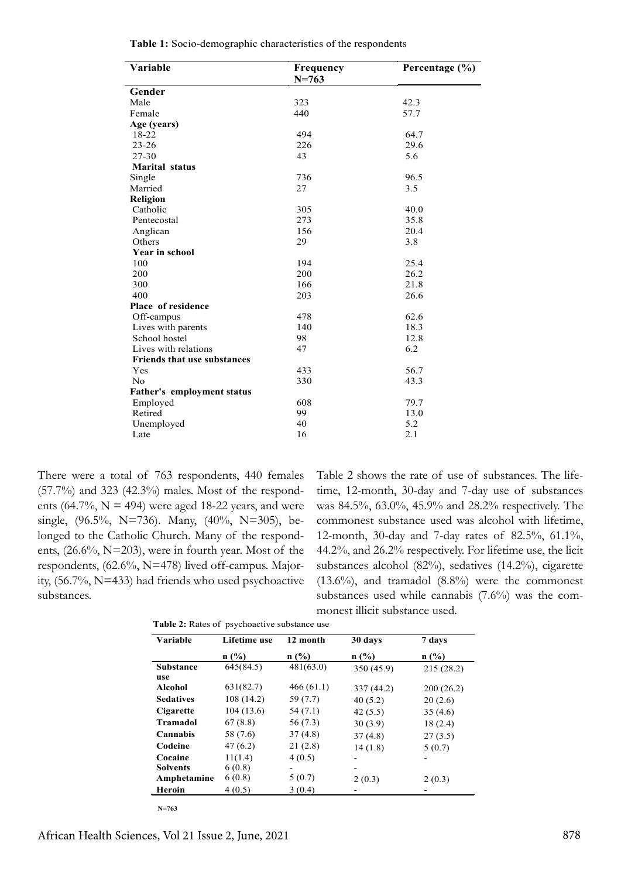| Variable                           | Frequency | Percentage $(\% )$ |
|------------------------------------|-----------|--------------------|
|                                    | $N = 763$ |                    |
| Gender                             |           |                    |
| Male                               | 323       | 42.3               |
| Female                             | 440       | 57.7               |
| Age (years)                        |           |                    |
| 18-22                              | 494       | 64.7               |
| $23 - 26$                          | 226       | 29.6               |
| $27 - 30$                          | 43        | 5.6                |
| <b>Marital</b> status              |           |                    |
| Single                             | 736       | 96.5               |
| Married                            | 27        | 3.5                |
| Religion                           |           |                    |
| Catholic                           | 305       | 40.0               |
| Pentecostal                        | 273       | 35.8               |
| Anglican                           | 156       | 20.4               |
| Others                             | 29        | 3.8                |
| Year in school                     |           |                    |
| 100                                | 194       | 25.4               |
| 200                                | 200       | 26.2               |
| 300                                | 166       | 21.8               |
| 400                                | 203       | 26.6               |
| Place of residence                 |           |                    |
| Off-campus                         | 478       | 62.6               |
| Lives with parents                 | 140       | 18.3               |
| School hostel                      | 98        | 12.8               |
| Lives with relations               | 47        | 6.2                |
| <b>Friends that use substances</b> |           |                    |
| Yes                                | 433       | 56.7               |
| N <sub>0</sub>                     | 330       | 43.3               |
| <b>Father's employment status</b>  |           |                    |
| Employed                           | 608       | 79.7               |
| Retired                            | 99        | 13.0               |
| Unemployed                         | 40        | 5.2                |
| Late                               | 16        | 2.1                |
|                                    |           |                    |

|  |  |  |  | Table 1: Socio-demographic characteristics of the respondents |  |  |
|--|--|--|--|---------------------------------------------------------------|--|--|
|--|--|--|--|---------------------------------------------------------------|--|--|

There were a total of 763 respondents, 440 females  $(57.7%)$  and 323  $(42.3%)$  males. Most of the respondents (64.7%,  $N = 494$ ) were aged 18-22 years, and were single, (96.5%, N=736). Many, (40%, N=305), belonged to the Catholic Church. Many of the respondents, (26.6%, N=203), were in fourth year. Most of the respondents, (62.6%, N=478) lived off-campus. Majority, (56.7%, N=433) had friends who used psychoactive substances.

Table 2 shows the rate of use of substances. The lifetime, 12-month, 30-day and 7-day use of substances was 84.5%, 63.0%, 45.9% and 28.2% respectively. The commonest substance used was alcohol with lifetime, 12-month, 30-day and 7-day rates of 82.5%, 61.1%, 44.2%, and 26.2% respectively. For lifetime use, the licit substances alcohol (82%), sedatives (14.2%), cigarette  $(13.6\%)$ , and tramadol  $(8.8\%)$  were the commonest substances used while cannabis (7.6%) was the commonest illicit substance used.

| Variable         | Lifetime use | 12 month  | 30 days    | 7 days    |
|------------------|--------------|-----------|------------|-----------|
|                  | n(%)         | $n$ (%)   | n(%)       | n(%)      |
| <b>Substance</b> | 645(84.5)    | 481(63.0) | 350(45.9)  | 215(28.2) |
| use              |              |           |            |           |
| Alcohol          | 631(82.7)    | 466(61.1) | 337 (44.2) | 200(26.2) |
| <b>Sedatives</b> | 108(14.2)    | 59 (7.7)  | 40(5.2)    | 20(2.6)   |
| Cigarette        | 104(13.6)    | 54 (7.1)  | 42(5.5)    | 35(4.6)   |
| <b>Tramadol</b>  | 67 (8.8)     | 56 (7.3)  | 30(3.9)    | 18(2.4)   |
| Cannabis         | 58 (7.6)     | 37(4.8)   | 37(4.8)    | 27(3.5)   |
| Codeine          | 47(6.2)      | 21(2.8)   | 14(1.8)    | 5(0.7)    |
| Cocaine          | 11(1.4)      | 4(0.5)    |            |           |
| <b>Solvents</b>  | 6(0.8)       |           |            |           |
| Amphetamine      | 6(0.8)       | 5(0.7)    | 2(0.3)     | 2(0.3)    |
| Heroin           | 4(0.5)       | 3(0.4)    |            |           |

**14** 763  **N=763**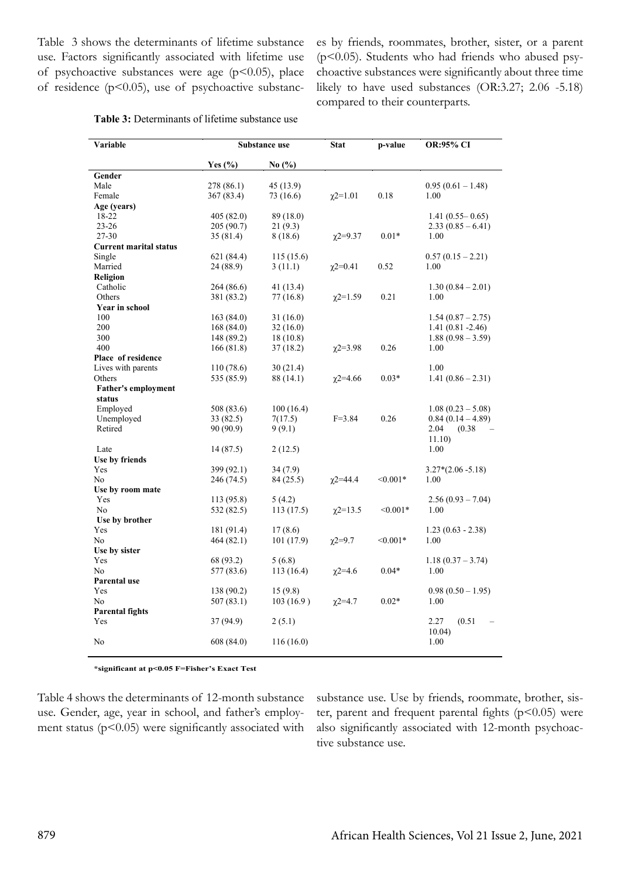Table 3 shows the determinants of lifetime substance use. Factors significantly associated with lifetime use of psychoactive substances were age  $(p<0.05)$ , place of residence ( $p$ <0.05), use of psychoactive substances by friends, roommates, brother, sister, or a parent ( $p$ <0.05). Students who had friends who abused psychoactive substances were significantly about three time likely to have used substances (OR:3.27; 2.06 -5.18) compared to their counterparts.

| Variable                      | Substance use |                               | <b>Stat</b>     | p-value    | <b>OR:95% CI</b>         |
|-------------------------------|---------------|-------------------------------|-----------------|------------|--------------------------|
|                               | Yes $(\% )$   | No $\left(\frac{9}{6}\right)$ |                 |            |                          |
| Gender                        |               |                               |                 |            |                          |
| Male                          | 278 (86.1)    | 45(13.9)                      |                 |            | $0.95(0.61 - 1.48)$      |
| Female                        | 367 (83.4)    | 73 (16.6)                     | $\gamma$ 2=1.01 | 0.18       | 1.00                     |
| Age (years)                   |               |                               |                 |            |                          |
| 18-22                         | 405 (82.0)    | 89 (18.0)                     |                 |            | $1.41(0.55 - 0.65)$      |
| $23 - 26$                     | 205 (90.7)    | 21(9.3)                       |                 |            | $2.33(0.85-6.41)$        |
| 27-30                         | 35 (81.4)     | 8 (18.6)                      | $\chi$ 2=9.37   | $0.01*$    | 1.00                     |
| <b>Current marital status</b> |               |                               |                 |            |                          |
| Single                        | 621 (84.4)    | 115(15.6)                     |                 |            | $0.57(0.15-2.21)$        |
| Married                       | 24 (88.9)     | 3(11.1)                       | $\chi$ 2=0.41   | 0.52       | 1.00                     |
| Religion                      |               |                               |                 |            |                          |
| Catholic                      | 264 (86.6)    | 41 (13.4)                     |                 |            | $1.30(0.84 - 2.01)$      |
| Others                        | 381 (83.2)    | 77 (16.8)                     | $\chi$ 2=1.59   | 0.21       | 1.00                     |
| Year in school                |               |                               |                 |            |                          |
| 100                           | 163(84.0)     | 31 (16.0)                     |                 |            | $1.54(0.87 - 2.75)$      |
| 200                           | 168(84.0)     | 32(16.0)                      |                 |            | $1.41(0.81 - 2.46)$      |
| 300                           | 148 (89.2)    | 18 (10.8)                     |                 |            | $1.88(0.98 - 3.59)$      |
| 400                           | 166(81.8)     | 37(18.2)                      | $\chi$ 2=3.98   | 0.26       | 1.00                     |
| Place of residence            |               |                               |                 |            |                          |
| Lives with parents            | 110(78.6)     | 30(21.4)                      |                 |            | 1.00                     |
| Others                        | 535 (85.9)    | 88 (14.1)                     | $\gamma$ 2=4.66 | $0.03*$    | $1.41(0.86 - 2.31)$      |
| <b>Father's employment</b>    |               |                               |                 |            |                          |
| status                        |               |                               |                 |            |                          |
| Employed                      | 508 (83.6)    | 100(16.4)                     |                 |            | $1.08(0.23 - 5.08)$      |
| Unemployed                    | 33(82.5)      | 7(17.5)                       | $F = 3.84$      | 0.26       | $0.84(0.14-4.89)$        |
| Retired                       | 90 (90.9)     | 9(9.1)                        |                 |            | 2.04<br>(0.38)<br>11.10) |
| Late                          | 14 (87.5)     | 2(12.5)                       |                 |            | 1.00                     |
| Use by friends                |               |                               |                 |            |                          |
| Yes                           | 399 (92.1)    | 34(7.9)                       |                 |            | $3.27*(2.06 - 5.18)$     |
| N <sub>0</sub>                | 246 (74.5)    | 84 (25.5)                     | $\gamma$ 2=44.4 | $< 0.001*$ | 1.00                     |
| Use by room mate              |               |                               |                 |            |                          |
| Yes                           | 113 (95.8)    | 5(4.2)                        |                 |            | $2.56(0.93 - 7.04)$      |
| N <sub>0</sub>                | 532 (82.5)    | 113 (17.5)                    | $\chi$ 2=13.5   | $< 0.001*$ | 1.00                     |
| Use by brother                |               |                               |                 |            |                          |
| Yes                           | 181 (91.4)    | 17(8.6)                       |                 |            | $1.23(0.63 - 2.38)$      |
| N <sub>0</sub>                | 464 (82.1)    | 101(17.9)                     | $x2=9.7$        | $< 0.001*$ | 1.00                     |
| Use by sister                 |               |                               |                 |            |                          |
| Yes                           | 68 (93.2)     | 5(6.8)                        |                 |            | $1.18(0.37 - 3.74)$      |
| No                            | 577 (83.6)    | 113(16.4)                     | $\gamma$ 2=4.6  | $0.04*$    | 1.00                     |
| Parental use                  |               |                               |                 |            |                          |
| Yes                           | 138 (90.2)    | 15(9.8)                       |                 |            | $0.98(0.50-1.95)$        |
| N <sub>0</sub>                | 507 (83.1)    | 103(16.9)                     | $x^{2=4.7}$     | $0.02*$    | 1.00                     |
| <b>Parental fights</b>        |               |                               |                 |            |                          |
| Yes                           | 37 (94.9)     | 2(5.1)                        |                 |            | (0.51)<br>2.27           |
| N <sub>0</sub>                | 608 (84.0)    | 116(16.0)                     |                 |            | 10.04)<br>1.00           |
|                               |               |                               |                 |            |                          |

| Table 3: Determinants of lifetime substance use |  |  |  |  |
|-------------------------------------------------|--|--|--|--|
|-------------------------------------------------|--|--|--|--|

**\*significant at p˂0.05 F=Fisher's Exact Test**

Table 4 shows the determinants of 12-month substance use. Gender, age, year in school, and father's employment status ( $p$ <0.05) were significantly associated with

substance use. Use by friends, roommate, brother, sister, parent and frequent parental fights  $(p<0.05)$  were also significantly associated with 12-month psychoactive substance use.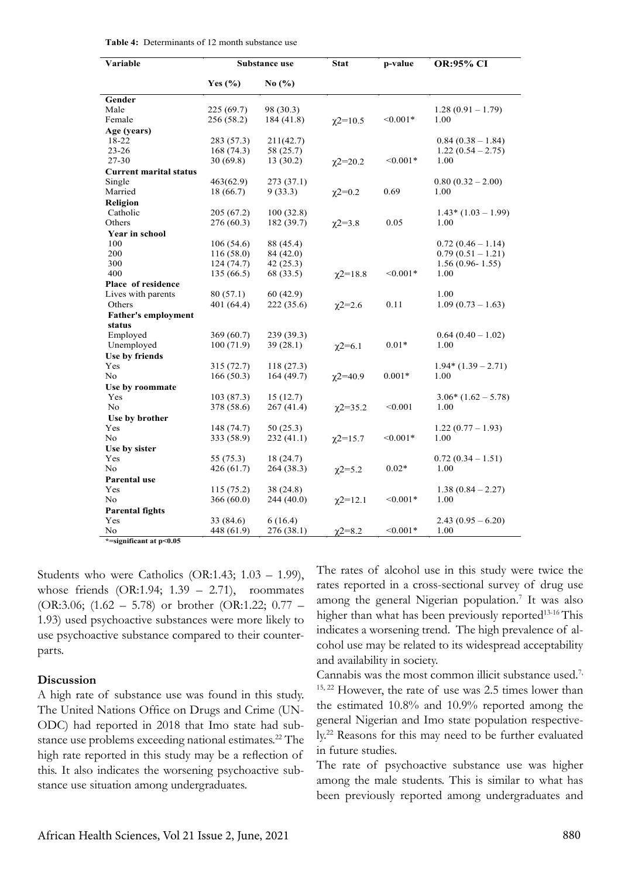| Yes $(\% )$<br>No $(\% )$<br>Gender<br>Male<br>225(69.7)<br>98 (30.3)<br>$1.28(0.91 - 1.79)$<br>Female<br>184 (41.8)<br>$< 0.001*$<br>1.00<br>256 (58.2)<br>$\chi$ 2=10.5<br>Age (years)<br>18-22<br>283 (57.3)<br>211(42.7)<br>$0.84(0.38-1.84)$<br>$23 - 26$<br>168(74.3)<br>58 (25.7)<br>$1.22(0.54 - 2.75)$<br>27-30<br>30(69.8)<br>13(30.2)<br>$< 0.001*$<br>1.00<br>$\chi$ 2=20.2<br><b>Current marital status</b><br>Single<br>463(62.9)<br>273 (37.1)<br>$0.80(0.32 - 2.00)$<br>0.69<br>Married<br>18 (66.7)<br>9(33.3)<br>1.00<br>$x^{2=0.2}$<br>Religion<br>Catholic<br>205 (67.2)<br>100(32.8)<br>$1.43*(1.03-1.99)$<br>Others<br>276(60.3)<br>182 (39.7)<br>0.05<br>1.00<br>$\gamma$ 2=3.8<br>Year in school<br>100<br>106(54.6)<br>88 (45.4)<br>$0.72(0.46-1.14)$<br>200<br>116(58.0)<br>84 (42.0)<br>$0.79(0.51 - 1.21)$<br>300<br>124(74.7)<br>42(25.3)<br>$1.56(0.96 - 1.55)$<br>400<br>135 (66.5)<br>68 (33.5)<br>$< 0.001*$<br>1.00<br>$\chi$ 2=18.8<br>Place of residence<br>Lives with parents<br>80(57.1)<br>60(42.9)<br>1.00<br>0.11<br>Others<br>401 (64.4)<br>222 (35.6)<br>$1.09(0.73-1.63)$<br>$\chi$ 2=2.6<br><b>Father's employment</b><br>status<br>Employed<br>369 (60.7)<br>239 (39.3)<br>$0.64(0.40-1.02)$<br>100(71.9)<br>39(28.1)<br>$0.01*$<br>Unemployed<br>1.00<br>$\chi$ 2=6.1<br>Use by friends<br>Yes<br>315 (72.7)<br>118(27.3)<br>$1.94*(1.39-2.71)$<br>No<br>166(50.3)<br>164(49.7)<br>$0.001*$<br>1.00<br>$\gamma$ 2=40.9<br>Use by roommate<br>$3.06*(1.62 - 5.78)$<br>Yes<br>103(87.3)<br>15(12.7)<br>No<br>378 (58.6)<br>267(41.4)<br>< 0.001<br>1.00<br>$x^{2=35.2}$<br>Use by brother<br>Yes<br>148 (74.7)<br>50(25.3)<br>$1.22(0.77-1.93)$<br>No<br>333 (58.9)<br>232(41.1)<br>$< 0.001*$<br>1.00<br>$\chi$ 2=15.7<br>Use by sister<br>Yes<br>55 (75.3)<br>18 (24.7)<br>$0.72(0.34-1.51)$<br>$0.02*$<br>No<br>426 (61.7)<br>264 (38.3)<br>1.00<br>$\chi$ 2=5.2<br>Parental use<br>Yes<br>115(75.2)<br>38 (24.8)<br>$1.38(0.84 - 2.27)$<br>No<br>366(60.0)<br>244 (40.0)<br>$< 0.001*$<br>1.00<br>$\chi$ 2=12.1<br><b>Parental fights</b><br>Yes<br>6(16.4)<br>33 (84.6)<br>$2.43(0.95-6.20)$<br>276(38.1)<br>$< 0.001*$<br>1.00<br>No<br>448 (61.9)<br>$\gamma$ 2=8.2 | Variable                | Substance use |  | <b>Stat</b> | p-value | <b>OR:95% CI</b> |
|-------------------------------------------------------------------------------------------------------------------------------------------------------------------------------------------------------------------------------------------------------------------------------------------------------------------------------------------------------------------------------------------------------------------------------------------------------------------------------------------------------------------------------------------------------------------------------------------------------------------------------------------------------------------------------------------------------------------------------------------------------------------------------------------------------------------------------------------------------------------------------------------------------------------------------------------------------------------------------------------------------------------------------------------------------------------------------------------------------------------------------------------------------------------------------------------------------------------------------------------------------------------------------------------------------------------------------------------------------------------------------------------------------------------------------------------------------------------------------------------------------------------------------------------------------------------------------------------------------------------------------------------------------------------------------------------------------------------------------------------------------------------------------------------------------------------------------------------------------------------------------------------------------------------------------------------------------------------------------------------------------------------------------------------------------------------------------------------------------------------------------------------------------------------------------------------------------------------------|-------------------------|---------------|--|-------------|---------|------------------|
|                                                                                                                                                                                                                                                                                                                                                                                                                                                                                                                                                                                                                                                                                                                                                                                                                                                                                                                                                                                                                                                                                                                                                                                                                                                                                                                                                                                                                                                                                                                                                                                                                                                                                                                                                                                                                                                                                                                                                                                                                                                                                                                                                                                                                         |                         |               |  |             |         |                  |
|                                                                                                                                                                                                                                                                                                                                                                                                                                                                                                                                                                                                                                                                                                                                                                                                                                                                                                                                                                                                                                                                                                                                                                                                                                                                                                                                                                                                                                                                                                                                                                                                                                                                                                                                                                                                                                                                                                                                                                                                                                                                                                                                                                                                                         |                         |               |  |             |         |                  |
|                                                                                                                                                                                                                                                                                                                                                                                                                                                                                                                                                                                                                                                                                                                                                                                                                                                                                                                                                                                                                                                                                                                                                                                                                                                                                                                                                                                                                                                                                                                                                                                                                                                                                                                                                                                                                                                                                                                                                                                                                                                                                                                                                                                                                         |                         |               |  |             |         |                  |
|                                                                                                                                                                                                                                                                                                                                                                                                                                                                                                                                                                                                                                                                                                                                                                                                                                                                                                                                                                                                                                                                                                                                                                                                                                                                                                                                                                                                                                                                                                                                                                                                                                                                                                                                                                                                                                                                                                                                                                                                                                                                                                                                                                                                                         |                         |               |  |             |         |                  |
|                                                                                                                                                                                                                                                                                                                                                                                                                                                                                                                                                                                                                                                                                                                                                                                                                                                                                                                                                                                                                                                                                                                                                                                                                                                                                                                                                                                                                                                                                                                                                                                                                                                                                                                                                                                                                                                                                                                                                                                                                                                                                                                                                                                                                         |                         |               |  |             |         |                  |
|                                                                                                                                                                                                                                                                                                                                                                                                                                                                                                                                                                                                                                                                                                                                                                                                                                                                                                                                                                                                                                                                                                                                                                                                                                                                                                                                                                                                                                                                                                                                                                                                                                                                                                                                                                                                                                                                                                                                                                                                                                                                                                                                                                                                                         |                         |               |  |             |         |                  |
|                                                                                                                                                                                                                                                                                                                                                                                                                                                                                                                                                                                                                                                                                                                                                                                                                                                                                                                                                                                                                                                                                                                                                                                                                                                                                                                                                                                                                                                                                                                                                                                                                                                                                                                                                                                                                                                                                                                                                                                                                                                                                                                                                                                                                         |                         |               |  |             |         |                  |
|                                                                                                                                                                                                                                                                                                                                                                                                                                                                                                                                                                                                                                                                                                                                                                                                                                                                                                                                                                                                                                                                                                                                                                                                                                                                                                                                                                                                                                                                                                                                                                                                                                                                                                                                                                                                                                                                                                                                                                                                                                                                                                                                                                                                                         |                         |               |  |             |         |                  |
|                                                                                                                                                                                                                                                                                                                                                                                                                                                                                                                                                                                                                                                                                                                                                                                                                                                                                                                                                                                                                                                                                                                                                                                                                                                                                                                                                                                                                                                                                                                                                                                                                                                                                                                                                                                                                                                                                                                                                                                                                                                                                                                                                                                                                         |                         |               |  |             |         |                  |
|                                                                                                                                                                                                                                                                                                                                                                                                                                                                                                                                                                                                                                                                                                                                                                                                                                                                                                                                                                                                                                                                                                                                                                                                                                                                                                                                                                                                                                                                                                                                                                                                                                                                                                                                                                                                                                                                                                                                                                                                                                                                                                                                                                                                                         |                         |               |  |             |         |                  |
|                                                                                                                                                                                                                                                                                                                                                                                                                                                                                                                                                                                                                                                                                                                                                                                                                                                                                                                                                                                                                                                                                                                                                                                                                                                                                                                                                                                                                                                                                                                                                                                                                                                                                                                                                                                                                                                                                                                                                                                                                                                                                                                                                                                                                         |                         |               |  |             |         |                  |
|                                                                                                                                                                                                                                                                                                                                                                                                                                                                                                                                                                                                                                                                                                                                                                                                                                                                                                                                                                                                                                                                                                                                                                                                                                                                                                                                                                                                                                                                                                                                                                                                                                                                                                                                                                                                                                                                                                                                                                                                                                                                                                                                                                                                                         |                         |               |  |             |         |                  |
|                                                                                                                                                                                                                                                                                                                                                                                                                                                                                                                                                                                                                                                                                                                                                                                                                                                                                                                                                                                                                                                                                                                                                                                                                                                                                                                                                                                                                                                                                                                                                                                                                                                                                                                                                                                                                                                                                                                                                                                                                                                                                                                                                                                                                         |                         |               |  |             |         |                  |
|                                                                                                                                                                                                                                                                                                                                                                                                                                                                                                                                                                                                                                                                                                                                                                                                                                                                                                                                                                                                                                                                                                                                                                                                                                                                                                                                                                                                                                                                                                                                                                                                                                                                                                                                                                                                                                                                                                                                                                                                                                                                                                                                                                                                                         |                         |               |  |             |         |                  |
|                                                                                                                                                                                                                                                                                                                                                                                                                                                                                                                                                                                                                                                                                                                                                                                                                                                                                                                                                                                                                                                                                                                                                                                                                                                                                                                                                                                                                                                                                                                                                                                                                                                                                                                                                                                                                                                                                                                                                                                                                                                                                                                                                                                                                         |                         |               |  |             |         |                  |
|                                                                                                                                                                                                                                                                                                                                                                                                                                                                                                                                                                                                                                                                                                                                                                                                                                                                                                                                                                                                                                                                                                                                                                                                                                                                                                                                                                                                                                                                                                                                                                                                                                                                                                                                                                                                                                                                                                                                                                                                                                                                                                                                                                                                                         |                         |               |  |             |         |                  |
|                                                                                                                                                                                                                                                                                                                                                                                                                                                                                                                                                                                                                                                                                                                                                                                                                                                                                                                                                                                                                                                                                                                                                                                                                                                                                                                                                                                                                                                                                                                                                                                                                                                                                                                                                                                                                                                                                                                                                                                                                                                                                                                                                                                                                         |                         |               |  |             |         |                  |
|                                                                                                                                                                                                                                                                                                                                                                                                                                                                                                                                                                                                                                                                                                                                                                                                                                                                                                                                                                                                                                                                                                                                                                                                                                                                                                                                                                                                                                                                                                                                                                                                                                                                                                                                                                                                                                                                                                                                                                                                                                                                                                                                                                                                                         |                         |               |  |             |         |                  |
|                                                                                                                                                                                                                                                                                                                                                                                                                                                                                                                                                                                                                                                                                                                                                                                                                                                                                                                                                                                                                                                                                                                                                                                                                                                                                                                                                                                                                                                                                                                                                                                                                                                                                                                                                                                                                                                                                                                                                                                                                                                                                                                                                                                                                         |                         |               |  |             |         |                  |
|                                                                                                                                                                                                                                                                                                                                                                                                                                                                                                                                                                                                                                                                                                                                                                                                                                                                                                                                                                                                                                                                                                                                                                                                                                                                                                                                                                                                                                                                                                                                                                                                                                                                                                                                                                                                                                                                                                                                                                                                                                                                                                                                                                                                                         |                         |               |  |             |         |                  |
|                                                                                                                                                                                                                                                                                                                                                                                                                                                                                                                                                                                                                                                                                                                                                                                                                                                                                                                                                                                                                                                                                                                                                                                                                                                                                                                                                                                                                                                                                                                                                                                                                                                                                                                                                                                                                                                                                                                                                                                                                                                                                                                                                                                                                         |                         |               |  |             |         |                  |
|                                                                                                                                                                                                                                                                                                                                                                                                                                                                                                                                                                                                                                                                                                                                                                                                                                                                                                                                                                                                                                                                                                                                                                                                                                                                                                                                                                                                                                                                                                                                                                                                                                                                                                                                                                                                                                                                                                                                                                                                                                                                                                                                                                                                                         |                         |               |  |             |         |                  |
|                                                                                                                                                                                                                                                                                                                                                                                                                                                                                                                                                                                                                                                                                                                                                                                                                                                                                                                                                                                                                                                                                                                                                                                                                                                                                                                                                                                                                                                                                                                                                                                                                                                                                                                                                                                                                                                                                                                                                                                                                                                                                                                                                                                                                         |                         |               |  |             |         |                  |
|                                                                                                                                                                                                                                                                                                                                                                                                                                                                                                                                                                                                                                                                                                                                                                                                                                                                                                                                                                                                                                                                                                                                                                                                                                                                                                                                                                                                                                                                                                                                                                                                                                                                                                                                                                                                                                                                                                                                                                                                                                                                                                                                                                                                                         |                         |               |  |             |         |                  |
|                                                                                                                                                                                                                                                                                                                                                                                                                                                                                                                                                                                                                                                                                                                                                                                                                                                                                                                                                                                                                                                                                                                                                                                                                                                                                                                                                                                                                                                                                                                                                                                                                                                                                                                                                                                                                                                                                                                                                                                                                                                                                                                                                                                                                         |                         |               |  |             |         |                  |
|                                                                                                                                                                                                                                                                                                                                                                                                                                                                                                                                                                                                                                                                                                                                                                                                                                                                                                                                                                                                                                                                                                                                                                                                                                                                                                                                                                                                                                                                                                                                                                                                                                                                                                                                                                                                                                                                                                                                                                                                                                                                                                                                                                                                                         |                         |               |  |             |         |                  |
|                                                                                                                                                                                                                                                                                                                                                                                                                                                                                                                                                                                                                                                                                                                                                                                                                                                                                                                                                                                                                                                                                                                                                                                                                                                                                                                                                                                                                                                                                                                                                                                                                                                                                                                                                                                                                                                                                                                                                                                                                                                                                                                                                                                                                         |                         |               |  |             |         |                  |
|                                                                                                                                                                                                                                                                                                                                                                                                                                                                                                                                                                                                                                                                                                                                                                                                                                                                                                                                                                                                                                                                                                                                                                                                                                                                                                                                                                                                                                                                                                                                                                                                                                                                                                                                                                                                                                                                                                                                                                                                                                                                                                                                                                                                                         |                         |               |  |             |         |                  |
|                                                                                                                                                                                                                                                                                                                                                                                                                                                                                                                                                                                                                                                                                                                                                                                                                                                                                                                                                                                                                                                                                                                                                                                                                                                                                                                                                                                                                                                                                                                                                                                                                                                                                                                                                                                                                                                                                                                                                                                                                                                                                                                                                                                                                         |                         |               |  |             |         |                  |
|                                                                                                                                                                                                                                                                                                                                                                                                                                                                                                                                                                                                                                                                                                                                                                                                                                                                                                                                                                                                                                                                                                                                                                                                                                                                                                                                                                                                                                                                                                                                                                                                                                                                                                                                                                                                                                                                                                                                                                                                                                                                                                                                                                                                                         |                         |               |  |             |         |                  |
|                                                                                                                                                                                                                                                                                                                                                                                                                                                                                                                                                                                                                                                                                                                                                                                                                                                                                                                                                                                                                                                                                                                                                                                                                                                                                                                                                                                                                                                                                                                                                                                                                                                                                                                                                                                                                                                                                                                                                                                                                                                                                                                                                                                                                         |                         |               |  |             |         |                  |
|                                                                                                                                                                                                                                                                                                                                                                                                                                                                                                                                                                                                                                                                                                                                                                                                                                                                                                                                                                                                                                                                                                                                                                                                                                                                                                                                                                                                                                                                                                                                                                                                                                                                                                                                                                                                                                                                                                                                                                                                                                                                                                                                                                                                                         |                         |               |  |             |         |                  |
|                                                                                                                                                                                                                                                                                                                                                                                                                                                                                                                                                                                                                                                                                                                                                                                                                                                                                                                                                                                                                                                                                                                                                                                                                                                                                                                                                                                                                                                                                                                                                                                                                                                                                                                                                                                                                                                                                                                                                                                                                                                                                                                                                                                                                         |                         |               |  |             |         |                  |
|                                                                                                                                                                                                                                                                                                                                                                                                                                                                                                                                                                                                                                                                                                                                                                                                                                                                                                                                                                                                                                                                                                                                                                                                                                                                                                                                                                                                                                                                                                                                                                                                                                                                                                                                                                                                                                                                                                                                                                                                                                                                                                                                                                                                                         |                         |               |  |             |         |                  |
|                                                                                                                                                                                                                                                                                                                                                                                                                                                                                                                                                                                                                                                                                                                                                                                                                                                                                                                                                                                                                                                                                                                                                                                                                                                                                                                                                                                                                                                                                                                                                                                                                                                                                                                                                                                                                                                                                                                                                                                                                                                                                                                                                                                                                         |                         |               |  |             |         |                  |
|                                                                                                                                                                                                                                                                                                                                                                                                                                                                                                                                                                                                                                                                                                                                                                                                                                                                                                                                                                                                                                                                                                                                                                                                                                                                                                                                                                                                                                                                                                                                                                                                                                                                                                                                                                                                                                                                                                                                                                                                                                                                                                                                                                                                                         |                         |               |  |             |         |                  |
|                                                                                                                                                                                                                                                                                                                                                                                                                                                                                                                                                                                                                                                                                                                                                                                                                                                                                                                                                                                                                                                                                                                                                                                                                                                                                                                                                                                                                                                                                                                                                                                                                                                                                                                                                                                                                                                                                                                                                                                                                                                                                                                                                                                                                         |                         |               |  |             |         |                  |
|                                                                                                                                                                                                                                                                                                                                                                                                                                                                                                                                                                                                                                                                                                                                                                                                                                                                                                                                                                                                                                                                                                                                                                                                                                                                                                                                                                                                                                                                                                                                                                                                                                                                                                                                                                                                                                                                                                                                                                                                                                                                                                                                                                                                                         |                         |               |  |             |         |                  |
|                                                                                                                                                                                                                                                                                                                                                                                                                                                                                                                                                                                                                                                                                                                                                                                                                                                                                                                                                                                                                                                                                                                                                                                                                                                                                                                                                                                                                                                                                                                                                                                                                                                                                                                                                                                                                                                                                                                                                                                                                                                                                                                                                                                                                         |                         |               |  |             |         |                  |
|                                                                                                                                                                                                                                                                                                                                                                                                                                                                                                                                                                                                                                                                                                                                                                                                                                                                                                                                                                                                                                                                                                                                                                                                                                                                                                                                                                                                                                                                                                                                                                                                                                                                                                                                                                                                                                                                                                                                                                                                                                                                                                                                                                                                                         |                         |               |  |             |         |                  |
|                                                                                                                                                                                                                                                                                                                                                                                                                                                                                                                                                                                                                                                                                                                                                                                                                                                                                                                                                                                                                                                                                                                                                                                                                                                                                                                                                                                                                                                                                                                                                                                                                                                                                                                                                                                                                                                                                                                                                                                                                                                                                                                                                                                                                         |                         |               |  |             |         |                  |
|                                                                                                                                                                                                                                                                                                                                                                                                                                                                                                                                                                                                                                                                                                                                                                                                                                                                                                                                                                                                                                                                                                                                                                                                                                                                                                                                                                                                                                                                                                                                                                                                                                                                                                                                                                                                                                                                                                                                                                                                                                                                                                                                                                                                                         |                         |               |  |             |         |                  |
|                                                                                                                                                                                                                                                                                                                                                                                                                                                                                                                                                                                                                                                                                                                                                                                                                                                                                                                                                                                                                                                                                                                                                                                                                                                                                                                                                                                                                                                                                                                                                                                                                                                                                                                                                                                                                                                                                                                                                                                                                                                                                                                                                                                                                         |                         |               |  |             |         |                  |
|                                                                                                                                                                                                                                                                                                                                                                                                                                                                                                                                                                                                                                                                                                                                                                                                                                                                                                                                                                                                                                                                                                                                                                                                                                                                                                                                                                                                                                                                                                                                                                                                                                                                                                                                                                                                                                                                                                                                                                                                                                                                                                                                                                                                                         | *=significant at p<0.05 |               |  |             |         |                  |

| Table 4: Determinants of 12 month substance use |  |
|-------------------------------------------------|--|
|-------------------------------------------------|--|

Students who were Catholics (OR:1.43; 1.03 – 1.99), whose friends  $(OR:1.94; 1.39 - 2.71)$ , roommates (OR:3.06; (1.62 – 5.78) or brother (OR:1.22; 0.77 – 1.93) used psychoactive substances were more likely to use psychoactive substance compared to their counterparts.

#### **Discussion**

A high rate of substance use was found in this study. The United Nations Office on Drugs and Crime (UN-ODC) had reported in 2018 that Imo state had substance use problems exceeding national estimates.<sup>22</sup> The high rate reported in this study may be a reflection of this. It also indicates the worsening psychoactive substance use situation among undergraduates.

The rates of alcohol use in this study were twice the rates reported in a cross-sectional survey of drug use among the general Nigerian population.<sup>7</sup> It was also higher than what has been previously reported<sup>13-16</sup> This indicates a worsening trend. The high prevalence of alcohol use may be related to its widespread acceptability and availability in society.

Cannabis was the most common illicit substance used.7, 15, 22 However, the rate of use was 2.5 times lower than the estimated 10.8% and 10.9% reported among the general Nigerian and Imo state population respectively.22 Reasons for this may need to be further evaluated in future studies.

The rate of psychoactive substance use was higher among the male students. This is similar to what has been previously reported among undergraduates and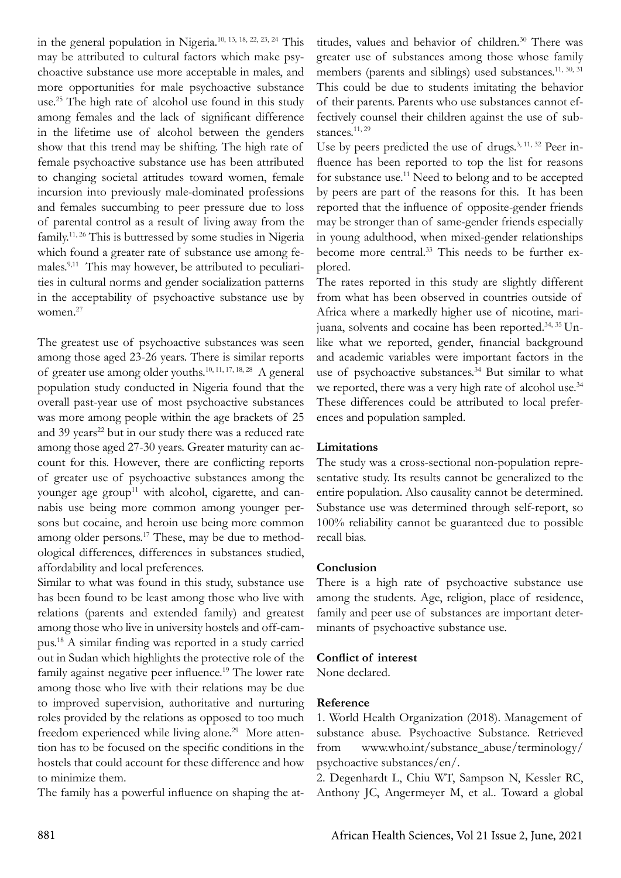in the general population in Nigeria.10, 13, 18, 22, 23, 24 This may be attributed to cultural factors which make psychoactive substance use more acceptable in males, and more opportunities for male psychoactive substance use.<sup>25</sup> The high rate of alcohol use found in this study among females and the lack of significant difference in the lifetime use of alcohol between the genders show that this trend may be shifting. The high rate of female psychoactive substance use has been attributed to changing societal attitudes toward women, female incursion into previously male-dominated professions and females succumbing to peer pressure due to loss of parental control as a result of living away from the family.<sup>11, 26</sup> This is buttressed by some studies in Nigeria which found a greater rate of substance use among females.9,11 This may however, be attributed to peculiarities in cultural norms and gender socialization patterns in the acceptability of psychoactive substance use by women.<sup>27</sup>

The greatest use of psychoactive substances was seen among those aged 23-26 years. There is similar reports of greater use among older youths.<sup>10, 11, 17, 18, 28</sup> A general population study conducted in Nigeria found that the overall past-year use of most psychoactive substances was more among people within the age brackets of 25 and 39 years<sup>22</sup> but in our study there was a reduced rate among those aged 27-30 years. Greater maturity can account for this. However, there are conflicting reports of greater use of psychoactive substances among the younger age group<sup>11</sup> with alcohol, cigarette, and cannabis use being more common among younger persons but cocaine, and heroin use being more common among older persons.<sup>17</sup> These, may be due to methodological differences, differences in substances studied, affordability and local preferences.

Similar to what was found in this study, substance use has been found to be least among those who live with relations (parents and extended family) and greatest among those who live in university hostels and off-campus.18 A similar finding was reported in a study carried out in Sudan which highlights the protective role of the family against negative peer influence.<sup>19</sup> The lower rate among those who live with their relations may be due to improved supervision, authoritative and nurturing roles provided by the relations as opposed to too much freedom experienced while living alone.<sup>29</sup> More attention has to be focused on the specific conditions in the hostels that could account for these difference and how to minimize them.

The family has a powerful influence on shaping the at-

titudes, values and behavior of children.<sup>30</sup> There was greater use of substances among those whose family members (parents and siblings) used substances.<sup>11, 30, 31</sup> This could be due to students imitating the behavior of their parents. Parents who use substances cannot effectively counsel their children against the use of substances.<sup>11, 29</sup>

Use by peers predicted the use of drugs.<sup>3, 11, 32</sup> Peer influence has been reported to top the list for reasons for substance use.11 Need to belong and to be accepted by peers are part of the reasons for this. It has been reported that the influence of opposite-gender friends may be stronger than of same-gender friends especially in young adulthood, when mixed-gender relationships become more central.<sup>33</sup> This needs to be further explored.

The rates reported in this study are slightly different from what has been observed in countries outside of Africa where a markedly higher use of nicotine, marijuana, solvents and cocaine has been reported.34, 35 Unlike what we reported, gender, financial background and academic variables were important factors in the use of psychoactive substances.<sup>34</sup> But similar to what we reported, there was a very high rate of alcohol use.<sup>34</sup> These differences could be attributed to local preferences and population sampled.

# **Limitations**

The study was a cross-sectional non-population representative study. Its results cannot be generalized to the entire population. Also causality cannot be determined. Substance use was determined through self-report, so 100% reliability cannot be guaranteed due to possible recall bias.

# **Conclusion**

There is a high rate of psychoactive substance use among the students. Age, religion, place of residence, family and peer use of substances are important determinants of psychoactive substance use.

# **Conflict of interest**

None declared.

# **Reference**

1. World Health Organization (2018). Management of substance abuse. Psychoactive Substance. Retrieved from www.who.int/substance\_abuse/terminology/ psychoactive substances/en/.

2. Degenhardt L, Chiu WT, Sampson N, Kessler RC, Anthony JC, Angermeyer M, et al.. Toward a global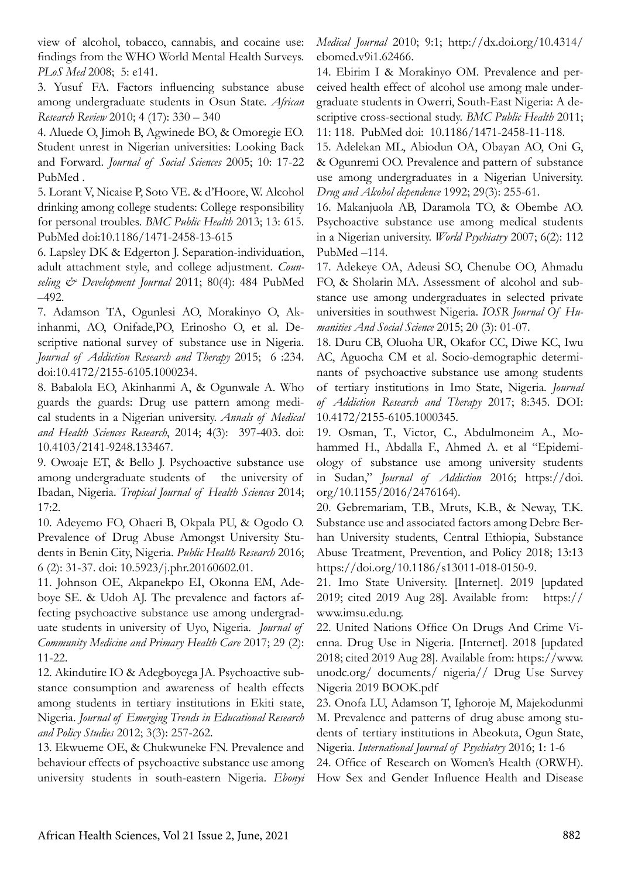view of alcohol, tobacco, cannabis, and cocaine use: findings from the WHO World Mental Health Surveys. *PLoS Med* 2008; 5: e141.

3. Yusuf FA. Factors influencing substance abuse among undergraduate students in Osun State. *African Research Review* 2010; 4 (17): 330 – 340

4. Aluede O, Jimoh B, Agwinede BO, & Omoregie EO. Student unrest in Nigerian universities: Looking Back and Forward. *Journal of Social Sciences* 2005; 10: 17-22 PubMed .

5. Lorant V, Nicaise P, Soto VE. & d'Hoore, W. Alcohol drinking among college students: College responsibility for personal troubles. *BMC Public Health* 2013; 13: 615. PubMed doi:10.1186/1471-2458-13-615

6. Lapsley DK & Edgerton J. Separation-individuation, adult attachment style, and college adjustment. *Counseling & Development Journal* 2011; 80(4): 484 PubMed –492.

7. Adamson TA, Ogunlesi AO, Morakinyo O, Akinhanmi, AO, Onifade,PO, Erinosho O, et al. Descriptive national survey of substance use in Nigeria. *Journal of Addiction Research and Therapy* 2015; 6 :234. doi:10.4172/2155-6105.1000234.

8. Babalola EO, Akinhanmi A, & Ogunwale A. Who guards the guards: Drug use pattern among medical students in a Nigerian university. *Annals of Medical and Health Sciences Research*, 2014; 4(3): 397-403. doi: 10.4103/2141-9248.133467.

9. Owoaje ET, & Bello J. Psychoactive substance use among undergraduate students of the university of Ibadan, Nigeria. *Tropical Journal of Health Sciences* 2014; 17:2.

10. Adeyemo FO, Ohaeri B, Okpala PU, & Ogodo O. Prevalence of Drug Abuse Amongst University Students in Benin City, Nigeria. *Public Health Research* 2016; 6 (2): 31-37. doi: 10.5923/j.phr.20160602.01.

11. Johnson OE, Akpanekpo EI, Okonna EM, Adeboye SE. & Udoh AJ. The prevalence and factors affecting psychoactive substance use among undergraduate students in university of Uyo, Nigeria. *Journal of Community Medicine and Primary Health Care* 2017; 29 (2): 11-22.

12. Akindutire IO & Adegboyega JA. Psychoactive substance consumption and awareness of health effects among students in tertiary institutions in Ekiti state, Nigeria. *Journal of Emerging Trends in Educational Research and Policy Studies* 2012; 3(3): 257-262.

13. Ekwueme OE, & Chukwuneke FN. Prevalence and behaviour effects of psychoactive substance use among university students in south-eastern Nigeria. *Ebonyi*  *Medical Journal* 2010; 9:1; http://dx.doi.org/10.4314/ ebomed.v9i1.62466.

14. Ebirim I & Morakinyo OM. Prevalence and perceived health effect of alcohol use among male undergraduate students in Owerri, South-East Nigeria: A descriptive cross-sectional study. *BMC Public Health* 2011; 11: 118. PubMed doi: 10.1186/1471-2458-11-118.

15. Adelekan ML, Abiodun OA, Obayan AO, Oni G, & Ogunremi OO. Prevalence and pattern of substance use among undergraduates in a Nigerian University. *Drug and Alcohol dependence* 1992; 29(3): 255-61.

16. Makanjuola AB, Daramola TO, & Obembe AO. Psychoactive substance use among medical students in a Nigerian university. *World Psychiatry* 2007; 6(2): 112 PubMed –114.

17. Adekeye OA, Adeusi SO, Chenube OO, Ahmadu FO, & Sholarin MA. Assessment of alcohol and substance use among undergraduates in selected private universities in southwest Nigeria. *IOSR Journal Of Humanities And Social Science* 2015; 20 (3): 01-07.

18. Duru CB, Oluoha UR, Okafor CC, Diwe KC, Iwu AC, Aguocha CM et al. Socio-demographic determinants of psychoactive substance use among students of tertiary institutions in Imo State, Nigeria. *Journal of Addiction Research and Therapy* 2017; 8:345. DOI: 10.4172/2155-6105.1000345.

19. Osman, T., Victor, C., Abdulmoneim A., Mohammed H., Abdalla F., Ahmed A. et al "Epidemiology of substance use among university students in Sudan," *Journal of Addiction* 2016; https://doi. org/10.1155/2016/2476164).

20. Gebremariam, T.B., Mruts, K.B., & Neway, T.K. Substance use and associated factors among Debre Berhan University students, Central Ethiopia, Substance Abuse Treatment, Prevention, and Policy 2018; 13:13 https://doi.org/10.1186/s13011-018-0150-9.

21. Imo State University. [Internet]. 2019 [updated 2019; cited 2019 Aug 28]. Available from: https:// www.imsu.edu.ng.

22. United Nations Office On Drugs And Crime Vienna. Drug Use in Nigeria. [Internet]. 2018 [updated 2018; cited 2019 Aug 28]. Available from: https://www. unodc.org/ documents/ nigeria// Drug Use Survey Nigeria 2019 BOOK.pdf

23. Onofa LU, Adamson T, Ighoroje M, Majekodunmi M. Prevalence and patterns of drug abuse among students of tertiary institutions in Abeokuta, Ogun State, Nigeria. *International Journal of Psychiatry* 2016; 1: 1-6

24. Office of Research on Women's Health (ORWH). How Sex and Gender Influence Health and Disease